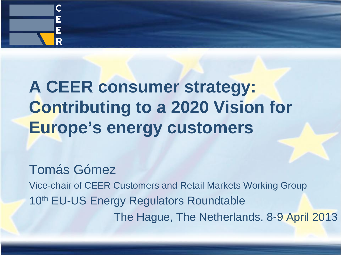

# **A CEER consumer strategy: Contributing to a 2020 Vision for Europe's energy customers**

Tomás Gómez Vice-chair of CEER Customers and Retail Markets Working Group 10<sup>th</sup> EU-US Energy Regulators Roundtable The Hague, The Netherlands, 8-9 April 2013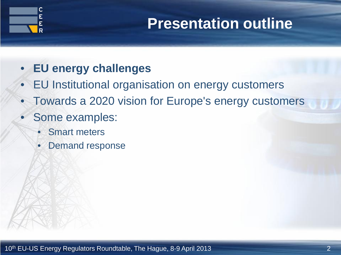

#### **Presentation outline**

#### • **EU energy challenges**

- EU Institutional organisation on energy customers
- Towards a 2020 vision for Europe's energy customers
- Some examples:
	- **Smart meters**
	- Demand response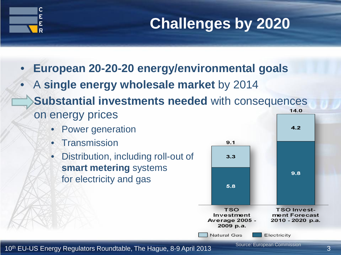

### **Challenges by 2020**

- **European 20-20-20 energy/environmental goals**
- A **single energy wholesale market** by 2014
- **Substantial investments needed** with consequences  $14.0$ on energy prices
	- Power generation
	- Transmission
	- Distribution, including roll-out of **smart metering** systems for electricity and gas



10<sup>th</sup> EU-US Energy Regulators Roundtable, The Hague, 8-9 April 2013 **Source, European Commission** 3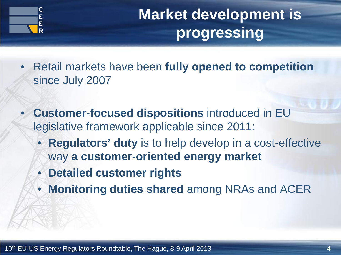

## **Market development is progressing**

- Retail markets have been **fully opened to competition**  since July 2007
- **Customer-focused dispositions** introduced in EU legislative framework applicable since 2011:
	- **Regulators' duty** is to help develop in a cost-effective way **a customer-oriented energy market**
	- **Detailed customer rights**
	- **Monitoring duties shared** among NRAs and ACER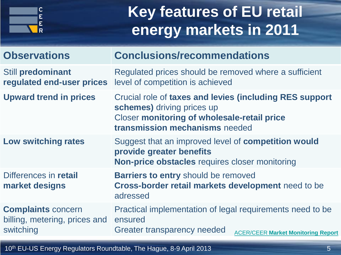

## **Key features of EU retail energy markets in 2011**

| <b>Observations</b>                                                     | <b>Conclusions/recommendations</b>                                                                                                                                            |
|-------------------------------------------------------------------------|-------------------------------------------------------------------------------------------------------------------------------------------------------------------------------|
| <b>Still predominant</b><br>regulated end-user prices                   | Regulated prices should be removed where a sufficient<br>level of competition is achieved                                                                                     |
| <b>Upward trend in prices</b>                                           | Crucial role of taxes and levies (including RES support<br>schemes) driving prices up<br><b>Closer monitoring of wholesale-retail price</b><br>transmission mechanisms needed |
| <b>Low switching rates</b>                                              | Suggest that an improved level of <b>competition would</b><br>provide greater benefits<br><b>Non-price obstacles requires closer monitoring</b>                               |
| Differences in retail<br>market designs                                 | <b>Barriers to entry should be removed</b><br>Cross-border retail markets development need to be<br>adressed                                                                  |
| <b>Complaints concern</b><br>billing, metering, prices and<br>switching | Practical implementation of legal requirements need to be<br>ensured<br>Greater transparency needed<br><b>ACER/CEER Market Monitoring Report</b>                              |
|                                                                         |                                                                                                                                                                               |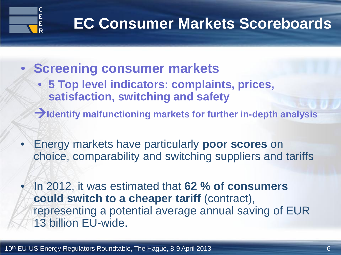

#### **EC Consumer Markets Scoreboards**

- **Screening consumer markets** 
	- **5 Top level indicators: complaints, prices, satisfaction, switching and safety**
	- **Identify malfunctioning markets for further in-depth analysis**
- Energy markets have particularly **poor scores** on choice, comparability and switching suppliers and tariffs
- In 2012, it was estimated that **62 % of consumers could switch to a cheaper tariff** (contract), representing a potential average annual saving of EUR 13 billion EU-wide.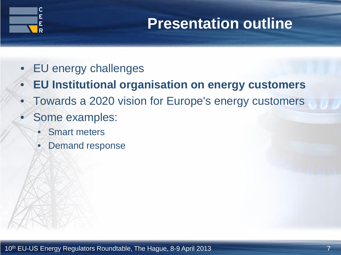

#### **Presentation outline**

- EU energy challenges
- **EU Institutional organisation on energy customers**
- Towards a 2020 vision for Europe's energy customers
- Some examples:
	- **Smart meters**
	- Demand response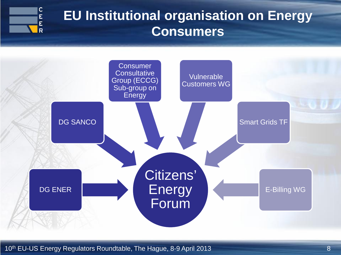

#### **EU Institutional organisation on Energy Consumers**



10<sup>th</sup> EU-US Energy Regulators Roundtable, The Hague, 8-9 April 2013 **10th** EU-US Energy Regulators Roundtable, The Hague, 8-9 April 2013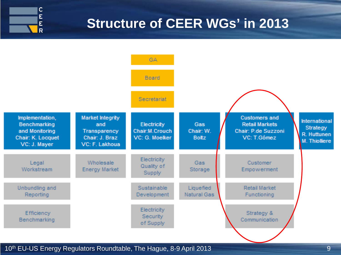

#### **Structure of CEER WGs' in 2013**



10<sup>th</sup> EU-US Energy Regulators Roundtable, The Hague, 8-9 April 2013 **10th** EU-US Energy Regulators Roundtable, The Hague, 8-9 April 2013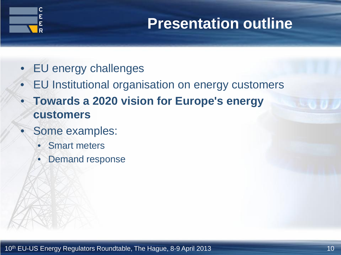

#### **Presentation outline**

- EU energy challenges
- EU Institutional organisation on energy customers
- **Towards a 2020 vision for Europe's energy customers**
- Some examples:
	- **Smart meters**
	- Demand response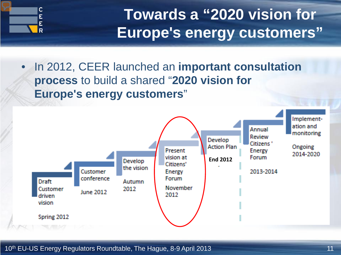

## **Towards a "2020 vision for Europe's energy customers"**

• In 2012, CEER launched an **important consultation process** to build a shared "**2020 vision for Europe's energy customers**"

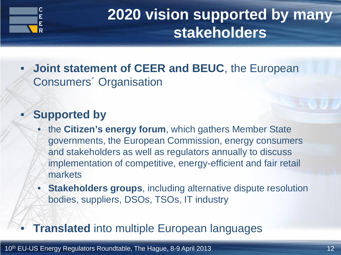

### **2020 vision supported by many stakeholders**

• **Joint statement of CEER and BEUC**, the European Consumers´ Organisation

#### • **Supported by**

- the **Citizen's energy forum**, which gathers Member State governments, the European Commission, energy consumers and stakeholders as well as regulators annually to discuss implementation of competitive, energy-efficient and fair retail markets
- **Stakeholders groups**, including alternative dispute resolution bodies, suppliers, DSOs, TSOs, IT industry

#### **Translated** into multiple European languages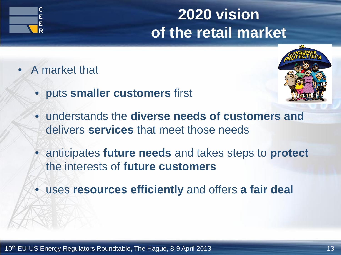

• A market that



- puts **smaller customers** first
- understands the **diverse needs of customers and**  delivers **services** that meet those needs
- anticipates **future needs** and takes steps to **protect** the interests of **future customers**
- uses **resources efficiently** and offers **a fair deal**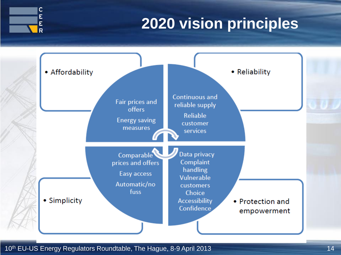

### **2020 vision principles**

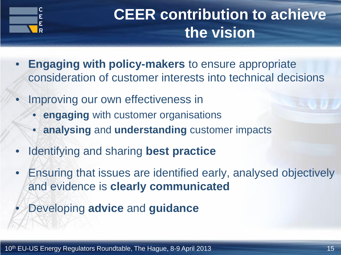

## **CEER contribution to achieve the vision**

- **Engaging with policy-makers** to ensure appropriate consideration of customer interests into technical decisions
- Improving our own effectiveness in
	- **engaging** with customer organisations
	- **analysing** and **understanding** customer impacts
- Identifying and sharing **best practice**
- Ensuring that issues are identified early, analysed objectively and evidence is **clearly communicated**
	- Developing **advice** and **guidance**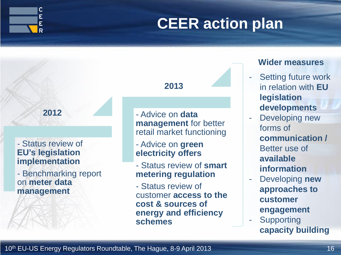

### **CEER action plan**

#### **2012**

#### - Status review of **EU's legislation implementation**

- Benchmarking report on **meter data management**

#### **2013**

- Advice on **data management** for better retail market functioning

- Advice on **green electricity offers**
- Status review of **smart metering regulation**
- Status review of customer **access to the cost & sources of energy and efficiency schemes**

#### **Wider measures**

- Setting future work in relation with **EU legislation developments**
- Developing new forms of **communication /**  Better use of **available information**
- Developing **new approaches to customer engagement**
- **Supporting capacity building**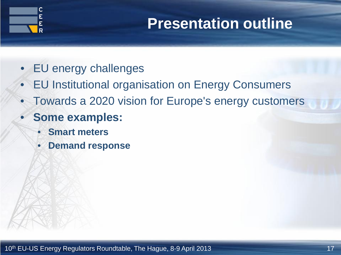

#### **Presentation outline**

- EU energy challenges
- EU Institutional organisation on Energy Consumers
- Towards a 2020 vision for Europe's energy customers
- **Some examples:**
	- **Smart meters**
	- **Demand response**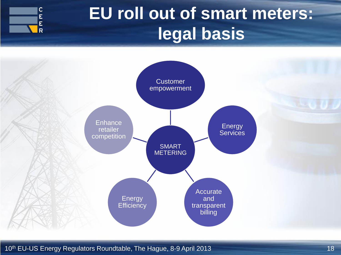

# **EU roll out of smart meters: legal basis**



10<sup>th</sup> EU-US Energy Regulators Roundtable, The Hague, 8-9 April 2013 **18** 18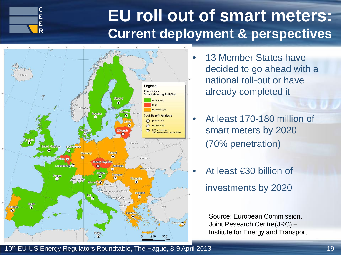

### **EU roll out of smart meters: Current deployment & perspectives**



- 13 Member States have decided to go ahead with a national roll-out or have already completed it
- At least 170-180 million of smart meters by 2020 (70% penetration)
- At least €30 billion of investments by 2020

Source: European Commission. Joint Research Centre(JRC) – Institute for Energy and Transport.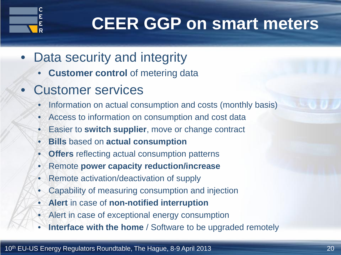

# **CEER GGP on smart meters**

- Data security and integrity
	- **Customer control** of metering data
- Customer services
	- Information on actual consumption and costs (monthly basis)
	- Access to information on consumption and cost data
	- Easier to **switch supplier**, move or change contract
	- **Bills** based on **actual consumption**
	- **Offers** reflecting actual consumption patterns
	- Remote **power capacity reduction/increase**
	- Remote activation/deactivation of supply
	- Capability of measuring consumption and injection
	- **Alert** in case of **non-notified interruption**
	- Alert in case of exceptional energy consumption
	- **Interface with the home** / Software to be upgraded remotely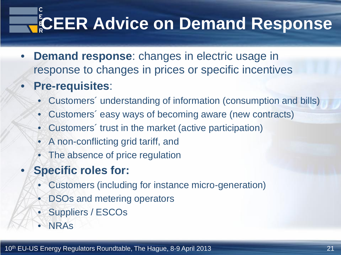# **CEER Advice on Demand Response**

- **Demand response:** changes in electric usage in response to changes in prices or specific incentives
- **Pre-requisites**:
	- Customers´ understanding of information (consumption and bills)
	- Customers´ easy ways of becoming aware (new contracts)
	- Customers´ trust in the market (active participation)
	- A non-conflicting grid tariff, and
	- The absence of price regulation
	- **Specific roles for:**
		- Customers (including for instance micro-generation)
		- DSOs and metering operators
		- Suppliers / ESCOs
		- NRAs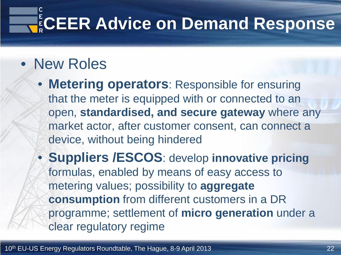# **ECEER Advice on Demand Response**

#### • New Roles

- **Metering operators**: Responsible for ensuring that the meter is equipped with or connected to an open, **standardised, and secure gateway** where any market actor, after customer consent, can connect a device, without being hindered
- **Suppliers /ESCOS**: develop **innovative pricing** formulas, enabled by means of easy access to metering values; possibility to **aggregate consumption** from different customers in a DR programme; settlement of **micro generation** under a clear regulatory regime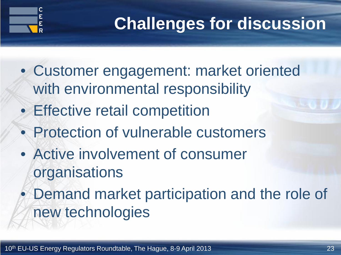

# **Challenges for discussion**

- Customer engagement: market oriented with environmental responsibility
- Effective retail competition
- Protection of vulnerable customers
- Active involvement of consumer organisations
	- Demand market participation and the role of new technologies